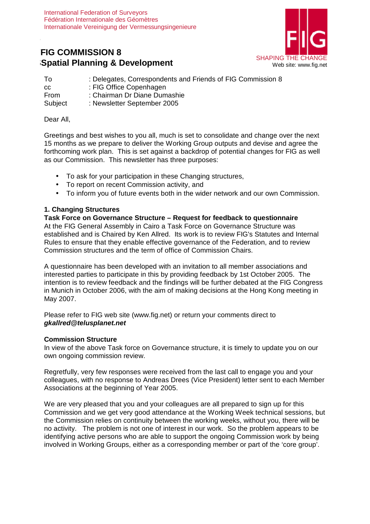# **FFIG COMMISSION 8 SPATIAL STATISTICS:** SHAPING THE CHANGE SHAPING THE CHANGE SPATIAL SHAPING THE CHANGE STATISTICS.



| Τo            | : Delegates, Correspondents and Friends of FIG Commission 8 |
|---------------|-------------------------------------------------------------|
| <sub>CC</sub> | : FIG Office Copenhagen                                     |
| From          | : Chairman Dr Diane Dumashie                                |
| Subject       | : Newsletter September 2005                                 |

Dear All,

**F**

Greetings and best wishes to you all, much is set to consolidate and change over the next 15 months as we prepare to deliver the Working Group outputs and devise and agree the forthcoming work plan. This is set against a backdrop of potential changes for FIG as well as our Commission. This newsletter has three purposes:

- To ask for your participation in these Changing structures,
- To report on recent Commission activity, and
- To inform you of future events both in the wider network and our own Commission.

### **1. Changing Structures**

**Task Force on Governance Structure – Request for feedback to questionnaire**  At the FIG General Assembly in Cairo a Task Force on Governance Structure was established and is Chaired by Ken Allred. Its work is to review FIG's Statutes and Internal Rules to ensure that they enable effective governance of the Federation, and to review Commission structures and the term of office of Commission Chairs.

A questionnaire has been developed with an invitation to all member associations and interested parties to participate in this by providing feedback by 1st October 2005. The intention is to review feedback and the findings will be further debated at the FIG Congress in Munich in October 2006, with the aim of making decisions at the Hong Kong meeting in May 2007.

Please refer to FIG web site (www.fig.net) or return your comments direct to **gkallred@telusplanet.net**

#### **Commission Structure**

In view of the above Task force on Governance structure, it is timely to update you on our own ongoing commission review.

Regretfully, very few responses were received from the last call to engage you and your colleagues, with no response to Andreas Drees (Vice President) letter sent to each Member Associations at the beginning of Year 2005.

We are very pleased that you and your colleagues are all prepared to sign up for this Commission and we get very good attendance at the Working Week technical sessions, but the Commission relies on continuity between the working weeks, without you, there will be no activity. The problem is not one of interest in our work. So the problem appears to be identifying active persons who are able to support the ongoing Commission work by being involved in Working Groups, either as a corresponding member or part of the 'core group'.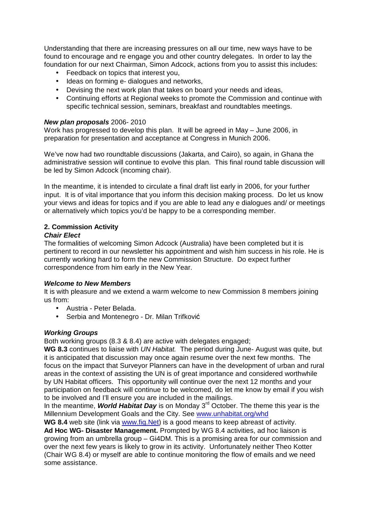Understanding that there are increasing pressures on all our time, new ways have to be found to encourage and re engage you and other country delegates. In order to lay the foundation for our next Chairman, Simon Adcock, actions from you to assist this includes:

- Feedback on topics that interest you,
- Ideas on forming e- dialogues and networks,
- Devising the next work plan that takes on board your needs and ideas,
- Continuing efforts at Regional weeks to promote the Commission and continue with specific technical session, seminars, breakfast and roundtables meetings.

#### **New plan proposals** 2006- 2010

Work has progressed to develop this plan. It will be agreed in May – June 2006, in preparation for presentation and acceptance at Congress in Munich 2006.

We've now had two roundtable discussions (Jakarta, and Cairo), so again, in Ghana the administrative session will continue to evolve this plan. This final round table discussion will be led by Simon Adcock (incoming chair).

In the meantime, it is intended to circulate a final draft list early in 2006, for your further input. It is of vital importance that you inform this decision making process. Do let us know your views and ideas for topics and if you are able to lead any e dialogues and/ or meetings or alternatively which topics you'd be happy to be a corresponding member.

#### **2. Commission Activity Chair Elect**

The formalities of welcoming Simon Adcock (Australia) have been completed but it is

pertinent to record in our newsletter his appointment and wish him success in his role. He is currently working hard to form the new Commission Structure. Do expect further correspondence from him early in the New Year.

#### **Welcome to New Members**

It is with pleasure and we extend a warm welcome to new Commission 8 members joining us from:

- Austria Peter Belada.
- Serbia and Montenegro Dr. Milan Trifković

#### **Working Groups**

Both working groups (8.3 & 8.4) are active with delegates engaged;

WG 8.3 continues to liaise with UN Habitat. The period during June- August was quite, but it is anticipated that discussion may once again resume over the next few months. The focus on the impact that Surveyor Planners can have in the development of urban and rural areas in the context of assisting the UN is of great importance and considered worthwhile by UN Habitat officers. This opportunity will continue over the next 12 months and your participation on feedback will continue to be welcomed, do let me know by email if you wish to be involved and I'll ensure you are included in the mailings.

In the meantime, **World Habitat Day** is on Monday 3rd October. The theme this year is the Millennium Development Goals and the City. See www.unhabitat.org/whd

**WG 8.4** web site (link via www.fig.Net) is a good means to keep abreast of activity.

**Ad Hoc WG- Disaster Management.** Prompted by WG 8.4 activities, ad hoc liaison is growing from an umbrella group – Gi4DM. This is a promising area for our commission and over the next few vears is likely to grow in its activity. Unfortunately neither Theo Kotter (Chair WG 8.4) or myself are able to continue monitoring the flow of emails and we need some assistance.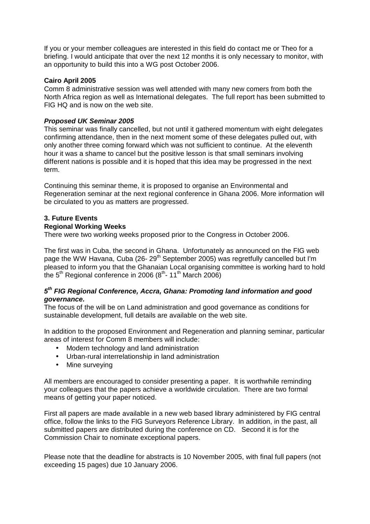If you or your member colleagues are interested in this field do contact me or Theo for a briefing. I would anticipate that over the next 12 months it is only necessary to monitor, with an opportunity to build this into a WG post October 2006.

#### **Cairo April 2005**

Comm 8 administrative session was well attended with many new comers from both the North Africa region as well as International delegates. The full report has been submitted to FIG HQ and is now on the web site.

#### **Proposed UK Seminar 2005**

This seminar was finally cancelled, but not until it gathered momentum with eight delegates confirming attendance, then in the next moment some of these delegates pulled out, with only another three coming forward which was not sufficient to continue. At the eleventh hour it was a shame to cancel but the positive lesson is that small seminars involving different nations is possible and it is hoped that this idea may be progressed in the next term.

Continuing this seminar theme, it is proposed to organise an Environmental and Regeneration seminar at the next regional conference in Ghana 2006. More information will be circulated to you as matters are progressed.

## **3. Future Events**

#### **Regional Working Weeks**

There were two working weeks proposed prior to the Congress in October 2006.

The first was in Cuba, the second in Ghana. Unfortunately as announced on the FIG web page the WW Havana, Cuba (26- $29<sup>th</sup>$  September 2005) was regretfully cancelled but I'm pleased to inform you that the Ghanaian Local organising committee is working hard to hold the  $5<sup>th</sup>$  Regional conference in 2006 ( $8<sup>th</sup>$ -11<sup>th</sup> March 2006)

### **5th FIG Regional Conference, Accra, Ghana: Promoting land information and good governance.**

The focus of the will be on Land administration and good governance as conditions for sustainable development, full details are available on the web site.

In addition to the proposed Environment and Regeneration and planning seminar, particular areas of interest for Comm 8 members will include:

- Modern technology and land administration
- Urban-rural interrelationship in land administration
- Mine surveying

All members are encouraged to consider presenting a paper. It is worthwhile reminding your colleagues that the papers achieve a worldwide circulation. There are two formal means of getting your paper noticed.

First all papers are made available in a new web based library administered by FIG central office, follow the links to the FIG Surveyors Reference Library. In addition, in the past, all submitted papers are distributed during the conference on CD. Second it is for the Commission Chair to nominate exceptional papers.

Please note that the deadline for abstracts is 10 November 2005, with final full papers (not exceeding 15 pages) due 10 January 2006.